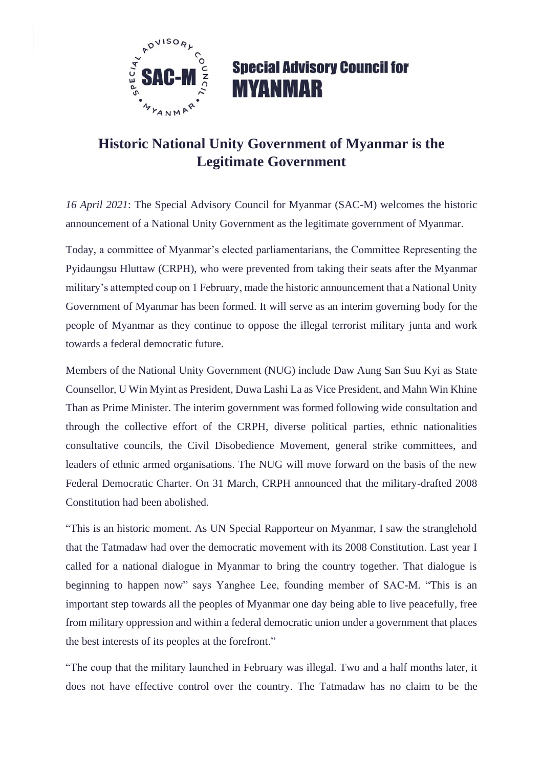

## **Special Advisory Council for MYANMAR**

## **Historic National Unity Government of Myanmar is the Legitimate Government**

*16 April 2021*: The Special Advisory Council for Myanmar (SAC-M) welcomes the historic announcement of a National Unity Government as the legitimate government of Myanmar.

Today, a committee of Myanmar's elected parliamentarians, the Committee Representing the Pyidaungsu Hluttaw (CRPH), who were prevented from taking their seats after the Myanmar military's attempted coup on 1 February, made the historic announcement that a National Unity Government of Myanmar has been formed. It will serve as an interim governing body for the people of Myanmar as they continue to oppose the illegal terrorist military junta and work towards a federal democratic future.

Members of the National Unity Government (NUG) include Daw Aung San Suu Kyi as State Counsellor, U Win Myint as President, Duwa Lashi La as Vice President, and Mahn Win Khine Than as Prime Minister. The interim government was formed following wide consultation and through the collective effort of the CRPH, diverse political parties, ethnic nationalities consultative councils, the Civil Disobedience Movement, general strike committees, and leaders of ethnic armed organisations. The NUG will move forward on the basis of the new Federal Democratic Charter. On 31 March, CRPH announced that the military-drafted 2008 Constitution had been abolished.

"This is an historic moment. As UN Special Rapporteur on Myanmar, I saw the stranglehold that the Tatmadaw had over the democratic movement with its 2008 Constitution. Last year I called for a national dialogue in Myanmar to bring the country together. That dialogue is beginning to happen now" says Yanghee Lee, founding member of SAC-M. "This is an important step towards all the peoples of Myanmar one day being able to live peacefully, free from military oppression and within a federal democratic union under a government that places the best interests of its peoples at the forefront."

"The coup that the military launched in February was illegal. Two and a half months later, it does not have effective control over the country. The Tatmadaw has no claim to be the